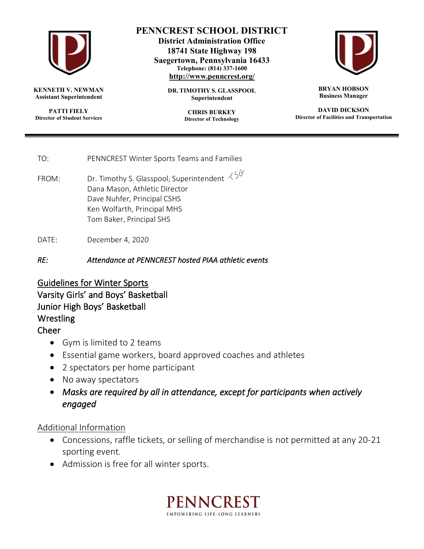

**KENNETH V. NEWMAN Assistant Superintendent**

**PATTI FIELY Director of Student Services**

## **PENNCREST SCHOOL DISTRICT**

**District Administration Office 18741 State Highway 198 Saegertown, Pennsylvania 16433 Telephone: (814) 337-1600 <http://www.penncrest.org/>**

> **DR. TIMOTHY S. GLASSPOOL Superintendent**

> > **CHRIS BURKEY Director of Technology**



**BRYAN HOBSON Business Manager**

**DAVID DICKSON Director of Facilities and Transportation**

TO: PENNCREST Winter Sports Teams and Families

FROM: Dr. Timothy S. Glasspool, Superintendent  $\frac{\sqrt{6}}{6}$ Dana Mason, Athletic Director Dave Nuhfer, Principal CSHS Ken Wolfarth, Principal MHS Tom Baker, Principal SHS

DATE: December 4, 2020

*RE: Attendance at PENNCREST hosted PIAA athletic events* 

Guidelines for Winter Sports Varsity Girls' and Boys' Basketball Junior High Boys' Basketball Wrestling

## Cheer

- Gym is limited to 2 teams
- Essential game workers, board approved coaches and athletes
- $\bullet$  2 spectators per home participant
- No away spectators
- x *Masks are required by all in attendance, except for participants when actively engaged*

## Additional Information

- Concessions, raffle tickets, or selling of merchandise is not permitted at any 20-21 sporting event.
- Admission is free for all winter sports.